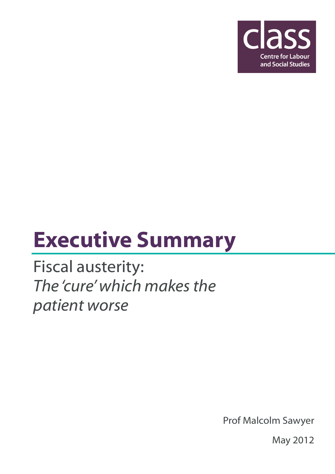

## Executive Summary

Fiscal austerity: The 'cure' which makes the patient worse

Prof Malcolm Sawyer

May 2012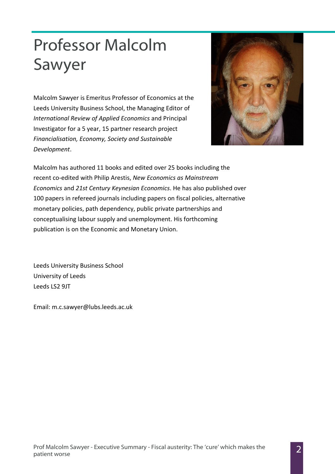## Professor Malcolm Sawyer

Malcolm Sawyer is Emeritus Professor of Economics at the Leeds University Business School, the Managing Editor of International Review of Applied Economics and Principal Investigator for a 5 year, 15 partner research project Financialisation, Economy, Society and Sustainable Development.



Malcolm has authored 11 books and edited over 25 books including the recent co-edited with Philip Arestis, New Economics as Mainstream Economics and 21st Century Keynesian Economics. He has also published over 100 papers in refereed journals including papers on fiscal policies, alternative monetary policies, path dependency, public private partnerships and conceptualising labour supply and unemployment. His forthcoming publication is on the Economic and Monetary Union.

Leeds University Business School University of Leeds Leeds LS2 9JT

Email: m.c.sawyer@lubs.leeds.ac.uk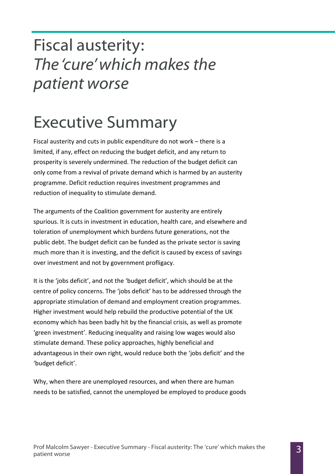## Fiscal austerity: The 'cure' which makes the patient worse

## Executive Summary

Fiscal austerity and cuts in public expenditure do not work – there is a limited, if any, effect on reducing the budget deficit, and any return to prosperity is severely undermined. The reduction of the budget deficit can only come from a revival of private demand which is harmed by an austerity programme. Deficit reduction requires investment programmes and reduction of inequality to stimulate demand.

The arguments of the Coalition government for austerity are entirely spurious. It is cuts in investment in education, health care, and elsewhere and toleration of unemployment which burdens future generations, not the public debt. The budget deficit can be funded as the private sector is saving much more than it is investing, and the deficit is caused by excess of savings over investment and not by government profligacy.

It is the 'jobs deficit', and not the 'budget deficit', which should be at the centre of policy concerns. The 'jobs deficit' has to be addressed through the appropriate stimulation of demand and employment creation programmes. Higher investment would help rebuild the productive potential of the UK economy which has been badly hit by the financial crisis, as well as promote 'green investment'. Reducing inequality and raising low wages would also stimulate demand. These policy approaches, highly beneficial and advantageous in their own right, would reduce both the 'jobs deficit' and the 'budget deficit'.

Why, when there are unemployed resources, and when there are human needs to be satisfied, cannot the unemployed be employed to produce goods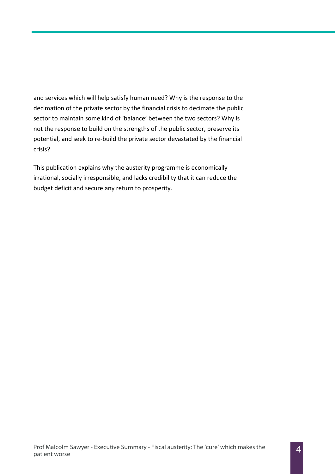and services which will help satisfy human need? Why is the response to the decimation of the private sector by the financial crisis to decimate the public sector to maintain some kind of 'balance' between the two sectors? Why is not the response to build on the strengths of the public sector, preserve its potential, and seek to re-build the private sector devastated by the financial crisis?

This publication explains why the austerity programme is economically irrational, socially irresponsible, and lacks credibility that it can reduce the budget deficit and secure any return to prosperity.